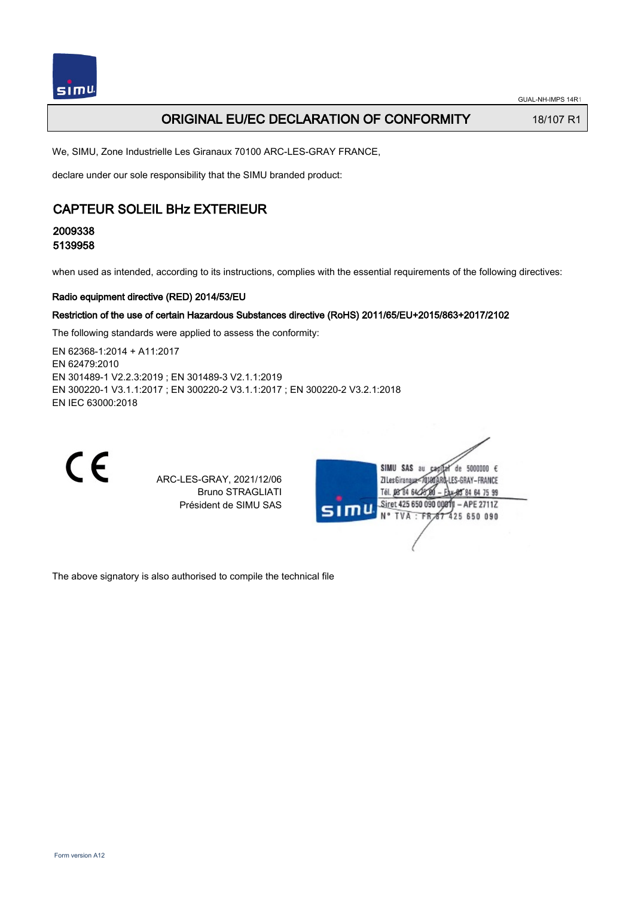## **ORIGINAL EU/EC DECLARATION OF CONFORMITY** 18/107 R1

We, SIMU, Zone Industrielle Les Giranaux 70100 ARC-LES-GRAY FRANCE,

declare under our sole responsibility that the SIMU branded product:

## CAPTEUR SOLEIL BHz EXTERIEUR

2009338 5139958

when used as intended, according to its instructions, complies with the essential requirements of the following directives:

#### Radio equipment directive (RED) 2014/53/EU

#### Restriction of the use of certain Hazardous Substances directive (RoHS) 2011/65/EU+2015/863+2017/2102

The following standards were applied to assess the conformity:

EN 62368‑1:2014 + A11:2017 EN 62479:2010 EN 301489‑1 V2.2.3:2019 ; EN 301489‑3 V2.1.1:2019 EN 300220‑1 V3.1.1:2017 ; EN 300220‑2 V3.1.1:2017 ; EN 300220‑2 V3.2.1:2018 EN IEC 63000:2018



ARC-LES-GRAY, 2021/12/06 Bruno STRAGLIATI Président de SIMU SAS



The above signatory is also authorised to compile the technical file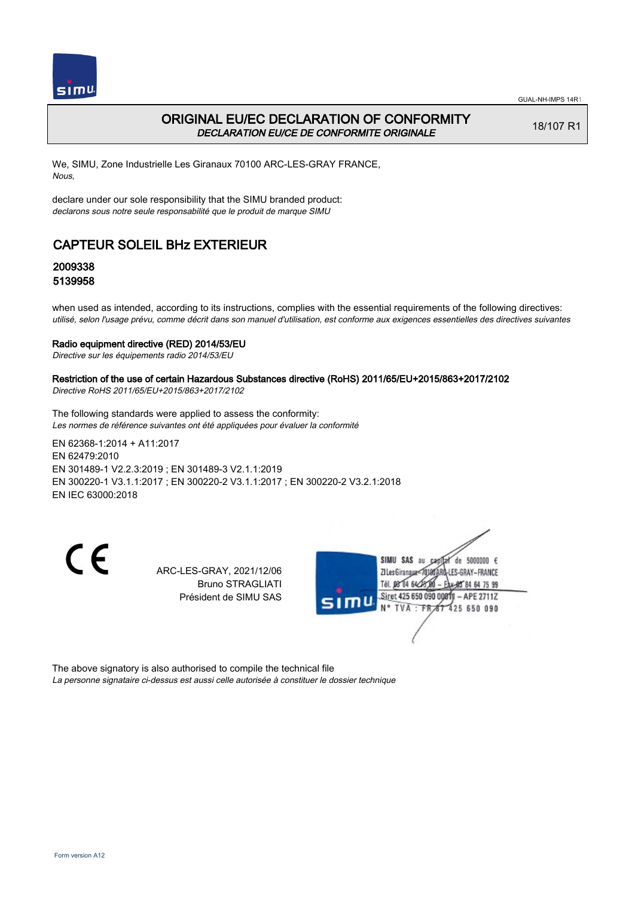

## ORIGINAL EU/EC DECLARATION OF CONFORMITY DECLARATION EU/CE DE CONFORMITE ORIGINALE

18/107 R1

We, SIMU, Zone Industrielle Les Giranaux 70100 ARC-LES-GRAY FRANCE, Nous,

declare under our sole responsibility that the SIMU branded product: declarons sous notre seule responsabilité que le produit de marque SIMU

# CAPTEUR SOLEIL BHz EXTERIEUR

## 2009338 5139958

when used as intended, according to its instructions, complies with the essential requirements of the following directives: utilisé, selon l'usage prévu, comme décrit dans son manuel d'utilisation, est conforme aux exigences essentielles des directives suivantes

#### Radio equipment directive (RED) 2014/53/EU

Directive sur les équipements radio 2014/53/EU

### Restriction of the use of certain Hazardous Substances directive (RoHS) 2011/65/EU+2015/863+2017/2102

Directive RoHS 2011/65/EU+2015/863+2017/2102

The following standards were applied to assess the conformity: Les normes de référence suivantes ont été appliquées pour évaluer la conformité

EN 62368‑1:2014 + A11:2017 EN 62479:2010 EN 301489‑1 V2.2.3:2019 ; EN 301489‑3 V2.1.1:2019 EN 300220‑1 V3.1.1:2017 ; EN 300220‑2 V3.1.1:2017 ; EN 300220‑2 V3.2.1:2018 EN IEC 63000:2018

CE

ARC-LES-GRAY, 2021/12/06 Bruno STRAGLIATI Président de SIMU SAS



The above signatory is also authorised to compile the technical file La personne signataire ci-dessus est aussi celle autorisée à constituer le dossier technique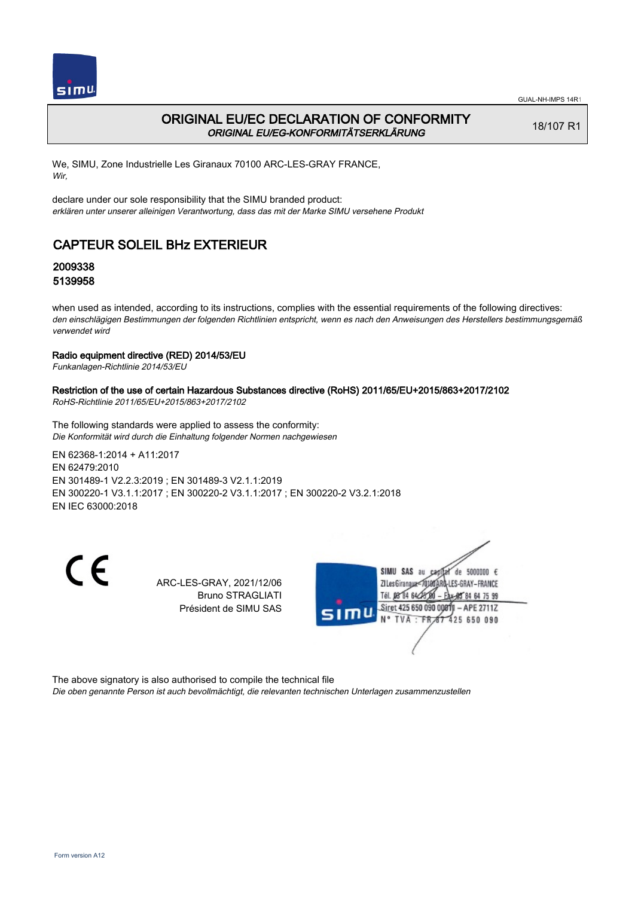

## ORIGINAL EU/EC DECLARATION OF CONFORMITY ORIGINAL EU/EG-KONFORMITÄTSERKLÄRUNG

18/107 R1

We, SIMU, Zone Industrielle Les Giranaux 70100 ARC-LES-GRAY FRANCE, Wir,

declare under our sole responsibility that the SIMU branded product: erklären unter unserer alleinigen Verantwortung, dass das mit der Marke SIMU versehene Produkt

# CAPTEUR SOLEIL BHz EXTERIEUR

## 2009338 5139958

when used as intended, according to its instructions, complies with the essential requirements of the following directives: den einschlägigen Bestimmungen der folgenden Richtlinien entspricht, wenn es nach den Anweisungen des Herstellers bestimmungsgemäß verwendet wird

### Radio equipment directive (RED) 2014/53/EU

Funkanlagen-Richtlinie 2014/53/EU

### Restriction of the use of certain Hazardous Substances directive (RoHS) 2011/65/EU+2015/863+2017/2102

RoHS-Richtlinie 2011/65/EU+2015/863+2017/2102

The following standards were applied to assess the conformity: Die Konformität wird durch die Einhaltung folgender Normen nachgewiesen

EN 62368‑1:2014 + A11:2017 EN 62479:2010 EN 301489‑1 V2.2.3:2019 ; EN 301489‑3 V2.1.1:2019 EN 300220‑1 V3.1.1:2017 ; EN 300220‑2 V3.1.1:2017 ; EN 300220‑2 V3.2.1:2018 EN IEC 63000:2018

 $\epsilon$ 

ARC-LES-GRAY, 2021/12/06 Bruno STRAGLIATI Président de SIMU SAS



The above signatory is also authorised to compile the technical file

Die oben genannte Person ist auch bevollmächtigt, die relevanten technischen Unterlagen zusammenzustellen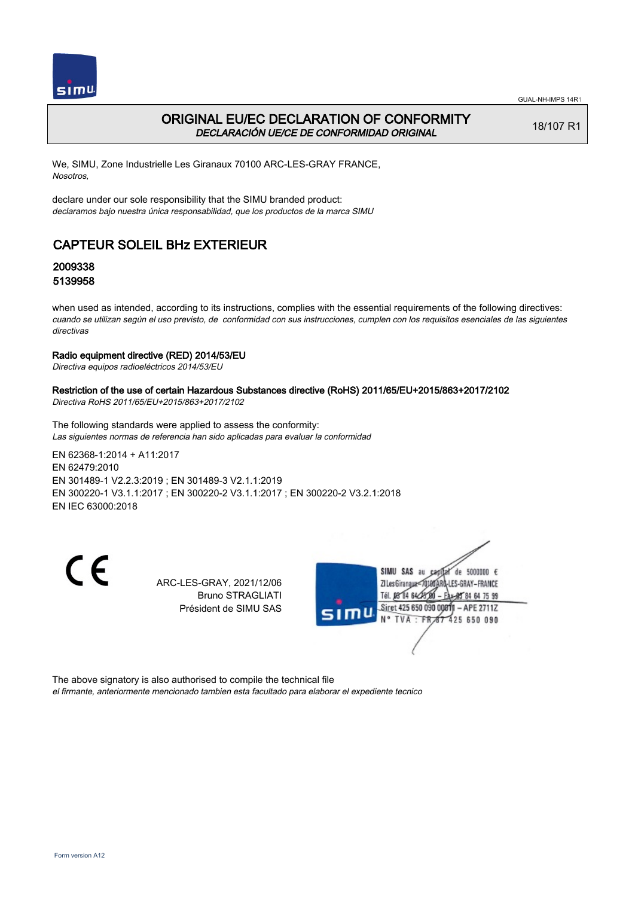

## ORIGINAL EU/EC DECLARATION OF CONFORMITY DECLARACIÓN UE/CE DE CONFORMIDAD ORIGINAL

18/107 R1

We, SIMU, Zone Industrielle Les Giranaux 70100 ARC-LES-GRAY FRANCE, Nosotros,

declare under our sole responsibility that the SIMU branded product: declaramos bajo nuestra única responsabilidad, que los productos de la marca SIMU

# CAPTEUR SOLEIL BHz EXTERIEUR

## 2009338 5139958

when used as intended, according to its instructions, complies with the essential requirements of the following directives: cuando se utilizan según el uso previsto, de conformidad con sus instrucciones, cumplen con los requisitos esenciales de las siguientes directivas

### Radio equipment directive (RED) 2014/53/EU

Directiva equipos radioeléctricos 2014/53/EU

### Restriction of the use of certain Hazardous Substances directive (RoHS) 2011/65/EU+2015/863+2017/2102

Directiva RoHS 2011/65/EU+2015/863+2017/2102

The following standards were applied to assess the conformity: Las siguientes normas de referencia han sido aplicadas para evaluar la conformidad

EN 62368‑1:2014 + A11:2017 EN 62479:2010 EN 301489‑1 V2.2.3:2019 ; EN 301489‑3 V2.1.1:2019 EN 300220‑1 V3.1.1:2017 ; EN 300220‑2 V3.1.1:2017 ; EN 300220‑2 V3.2.1:2018 EN IEC 63000:2018

 $\epsilon$ 

ARC-LES-GRAY, 2021/12/06 Bruno STRAGLIATI Président de SIMU SAS



The above signatory is also authorised to compile the technical file

el firmante, anteriormente mencionado tambien esta facultado para elaborar el expediente tecnico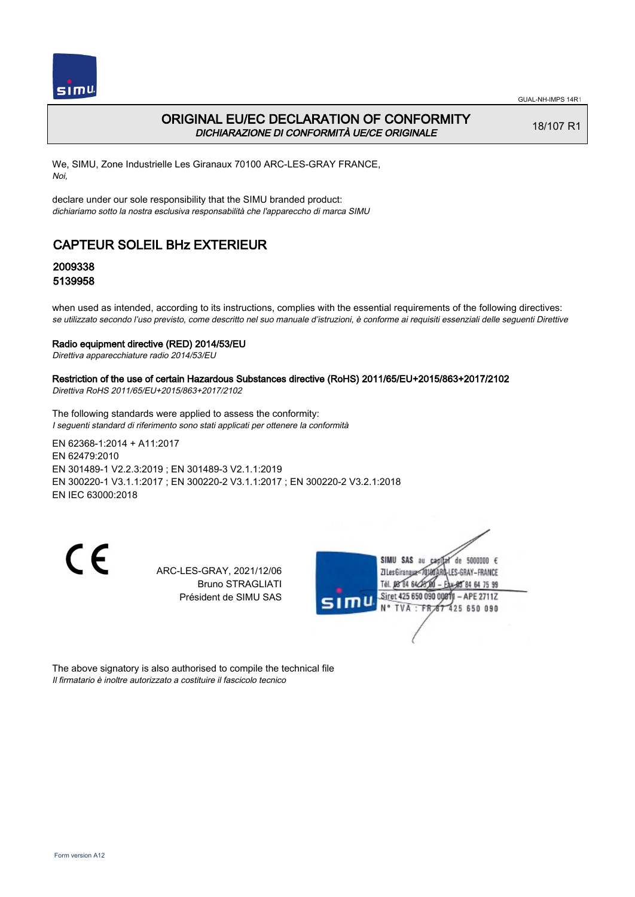

## ORIGINAL EU/EC DECLARATION OF CONFORMITY DICHIARAZIONE DI CONFORMITÀ UE/CE ORIGINALE

18/107 R1

We, SIMU, Zone Industrielle Les Giranaux 70100 ARC-LES-GRAY FRANCE, Noi,

declare under our sole responsibility that the SIMU branded product: dichiariamo sotto la nostra esclusiva responsabilità che l'appareccho di marca SIMU

# CAPTEUR SOLEIL BHz EXTERIEUR

## 2009338 5139958

when used as intended, according to its instructions, complies with the essential requirements of the following directives: se utilizzato secondo l'uso previsto, come descritto nel suo manuale d'istruzioni, è conforme ai requisiti essenziali delle seguenti Direttive

#### Radio equipment directive (RED) 2014/53/EU

Direttiva apparecchiature radio 2014/53/EU

### Restriction of the use of certain Hazardous Substances directive (RoHS) 2011/65/EU+2015/863+2017/2102

Direttiva RoHS 2011/65/EU+2015/863+2017/2102

The following standards were applied to assess the conformity: I seguenti standard di riferimento sono stati applicati per ottenere la conformità

EN 62368‑1:2014 + A11:2017 EN 62479:2010 EN 301489‑1 V2.2.3:2019 ; EN 301489‑3 V2.1.1:2019 EN 300220‑1 V3.1.1:2017 ; EN 300220‑2 V3.1.1:2017 ; EN 300220‑2 V3.2.1:2018 EN IEC 63000:2018

CE

ARC-LES-GRAY, 2021/12/06 Bruno STRAGLIATI Président de SIMU SAS



The above signatory is also authorised to compile the technical file Il firmatario è inoltre autorizzato a costituire il fascicolo tecnico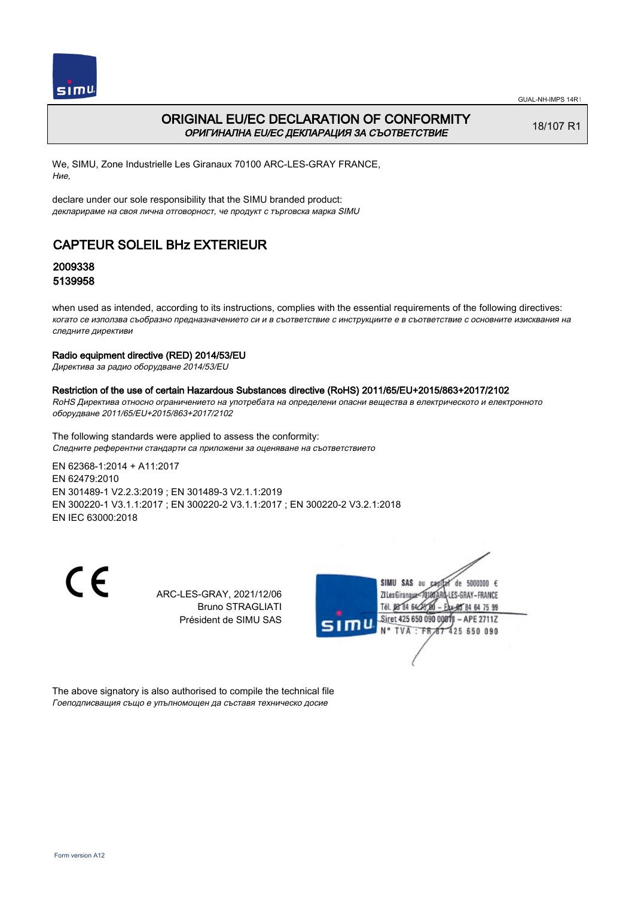

## ORIGINAL EU/EC DECLARATION OF CONFORMITY ОРИГИНАЛНА EU/EC ДЕКЛАРАЦИЯ ЗА СЪОТВЕТСТВИЕ

18/107 R1

We, SIMU, Zone Industrielle Les Giranaux 70100 ARC-LES-GRAY FRANCE, Ние,

declare under our sole responsibility that the SIMU branded product: декларираме на своя лична отговорност, че продукт с търговска марка SIMU

# CAPTEUR SOLEIL BHz EXTERIEUR

## 2009338 5139958

when used as intended, according to its instructions, complies with the essential requirements of the following directives: когато се използва съобразно предназначението си и в съответствие с инструкциите е в съответствие с основните изисквания на следните директиви

### Radio equipment directive (RED) 2014/53/EU

Директива за радио оборудване 2014/53/EU

### Restriction of the use of certain Hazardous Substances directive (RoHS) 2011/65/EU+2015/863+2017/2102

RoHS Директива относно ограничението на употребата на определени опасни вещества в електрическото и електронното оборудване 2011/65/EU+2015/863+2017/2102

The following standards were applied to assess the conformity: Следните референтни стандарти са приложени за оценяване на съответствието

EN 62368‑1:2014 + A11:2017 EN 62479:2010 EN 301489‑1 V2.2.3:2019 ; EN 301489‑3 V2.1.1:2019 EN 300220‑1 V3.1.1:2017 ; EN 300220‑2 V3.1.1:2017 ; EN 300220‑2 V3.2.1:2018 EN IEC 63000:2018

CE

ARC-LES-GRAY, 2021/12/06 Bruno STRAGLIATI Président de SIMU SAS



The above signatory is also authorised to compile the technical file Гоеподписващия също е упълномощен да съставя техническо досие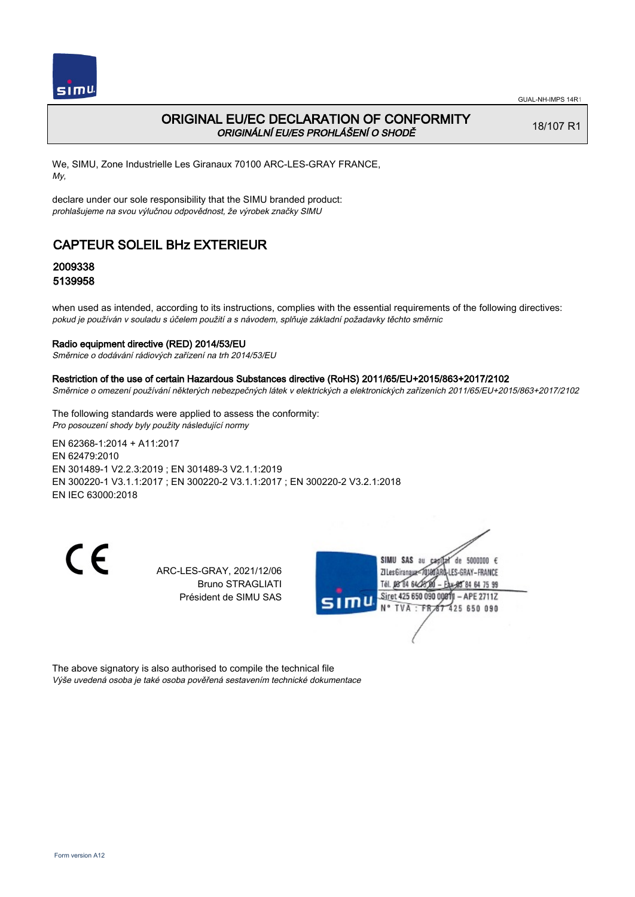

## ORIGINAL EU/EC DECLARATION OF CONFORMITY ORIGINÁLNÍ EU/ES PROHLÁŠENÍ O SHODĚ

18/107 R1

We, SIMU, Zone Industrielle Les Giranaux 70100 ARC-LES-GRAY FRANCE, My,

declare under our sole responsibility that the SIMU branded product: prohlašujeme na svou výlučnou odpovědnost, že výrobek značky SIMU

# CAPTEUR SOLEIL BHz EXTERIEUR

## 2009338 5139958

when used as intended, according to its instructions, complies with the essential requirements of the following directives: pokud je používán v souladu s účelem použití a s návodem, splňuje základní požadavky těchto směrnic

### Radio equipment directive (RED) 2014/53/EU

Směrnice o dodávání rádiových zařízení na trh 2014/53/EU

#### Restriction of the use of certain Hazardous Substances directive (RoHS) 2011/65/EU+2015/863+2017/2102

Směrnice o omezení používání některých nebezpečných látek v elektrických a elektronických zařízeních 2011/65/EU+2015/863+2017/2102

The following standards were applied to assess the conformity: Pro posouzení shody byly použity následující normy

EN 62368‑1:2014 + A11:2017 EN 62479:2010 EN 301489‑1 V2.2.3:2019 ; EN 301489‑3 V2.1.1:2019 EN 300220‑1 V3.1.1:2017 ; EN 300220‑2 V3.1.1:2017 ; EN 300220‑2 V3.2.1:2018 EN IEC 63000:2018

CE

ARC-LES-GRAY, 2021/12/06 Bruno STRAGLIATI Président de SIMU SAS



The above signatory is also authorised to compile the technical file Výše uvedená osoba je také osoba pověřená sestavením technické dokumentace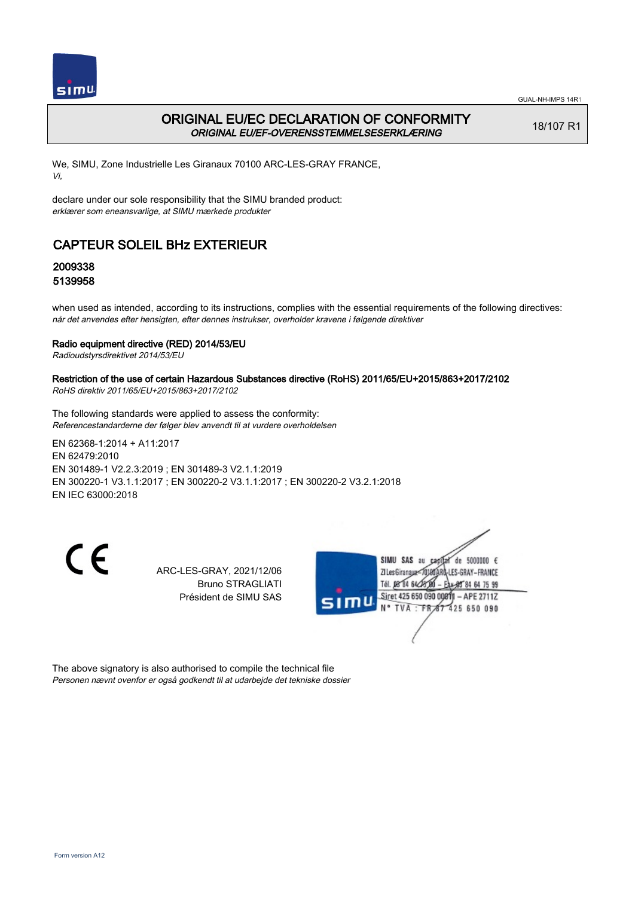

## ORIGINAL EU/EC DECLARATION OF CONFORMITY ORIGINAL EU/EF-OVERENSSTEMMELSESERKLÆRING

18/107 R1

We, SIMU, Zone Industrielle Les Giranaux 70100 ARC-LES-GRAY FRANCE, Vi,

declare under our sole responsibility that the SIMU branded product: erklærer som eneansvarlige, at SIMU mærkede produkter

# CAPTEUR SOLEIL BHz EXTERIEUR

## 2009338 5139958

when used as intended, according to its instructions, complies with the essential requirements of the following directives: når det anvendes efter hensigten, efter dennes instrukser, overholder kravene i følgende direktiver

### Radio equipment directive (RED) 2014/53/EU

Radioudstyrsdirektivet 2014/53/EU

### Restriction of the use of certain Hazardous Substances directive (RoHS) 2011/65/EU+2015/863+2017/2102

RoHS direktiv 2011/65/EU+2015/863+2017/2102

The following standards were applied to assess the conformity: Referencestandarderne der følger blev anvendt til at vurdere overholdelsen

EN 62368‑1:2014 + A11:2017 EN 62479:2010 EN 301489‑1 V2.2.3:2019 ; EN 301489‑3 V2.1.1:2019 EN 300220‑1 V3.1.1:2017 ; EN 300220‑2 V3.1.1:2017 ; EN 300220‑2 V3.2.1:2018 EN IEC 63000:2018

CE

ARC-LES-GRAY, 2021/12/06 Bruno STRAGLIATI Président de SIMU SAS



The above signatory is also authorised to compile the technical file Personen nævnt ovenfor er også godkendt til at udarbejde det tekniske dossier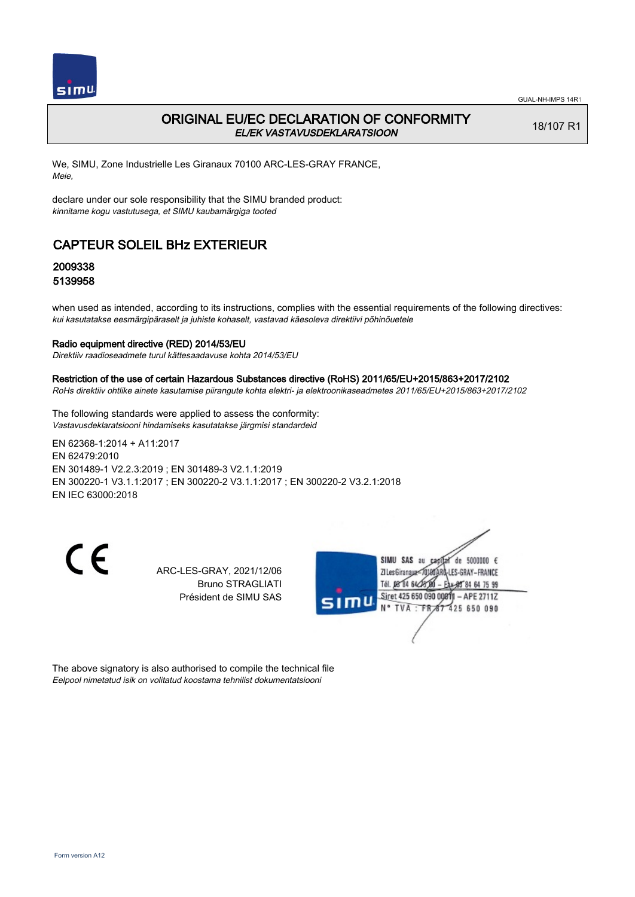

## ORIGINAL EU/EC DECLARATION OF CONFORMITY EL/EK VASTAVUSDEKLARATSIOON

18/107 R1

We, SIMU, Zone Industrielle Les Giranaux 70100 ARC-LES-GRAY FRANCE, Meie,

declare under our sole responsibility that the SIMU branded product: kinnitame kogu vastutusega, et SIMU kaubamärgiga tooted

## CAPTEUR SOLEIL BHz EXTERIEUR

## 2009338 5139958

when used as intended, according to its instructions, complies with the essential requirements of the following directives: kui kasutatakse eesmärgipäraselt ja juhiste kohaselt, vastavad käesoleva direktiivi põhinõuetele

#### Radio equipment directive (RED) 2014/53/EU

Direktiiv raadioseadmete turul kättesaadavuse kohta 2014/53/EU

#### Restriction of the use of certain Hazardous Substances directive (RoHS) 2011/65/EU+2015/863+2017/2102

RoHs direktiiv ohtlike ainete kasutamise piirangute kohta elektri- ja elektroonikaseadmetes 2011/65/EU+2015/863+2017/2102

The following standards were applied to assess the conformity: Vastavusdeklaratsiooni hindamiseks kasutatakse järgmisi standardeid

EN 62368‑1:2014 + A11:2017 EN 62479:2010 EN 301489‑1 V2.2.3:2019 ; EN 301489‑3 V2.1.1:2019 EN 300220‑1 V3.1.1:2017 ; EN 300220‑2 V3.1.1:2017 ; EN 300220‑2 V3.2.1:2018 EN IEC 63000:2018

CE

ARC-LES-GRAY, 2021/12/06 Bruno STRAGLIATI Président de SIMU SAS



The above signatory is also authorised to compile the technical file Eelpool nimetatud isik on volitatud koostama tehnilist dokumentatsiooni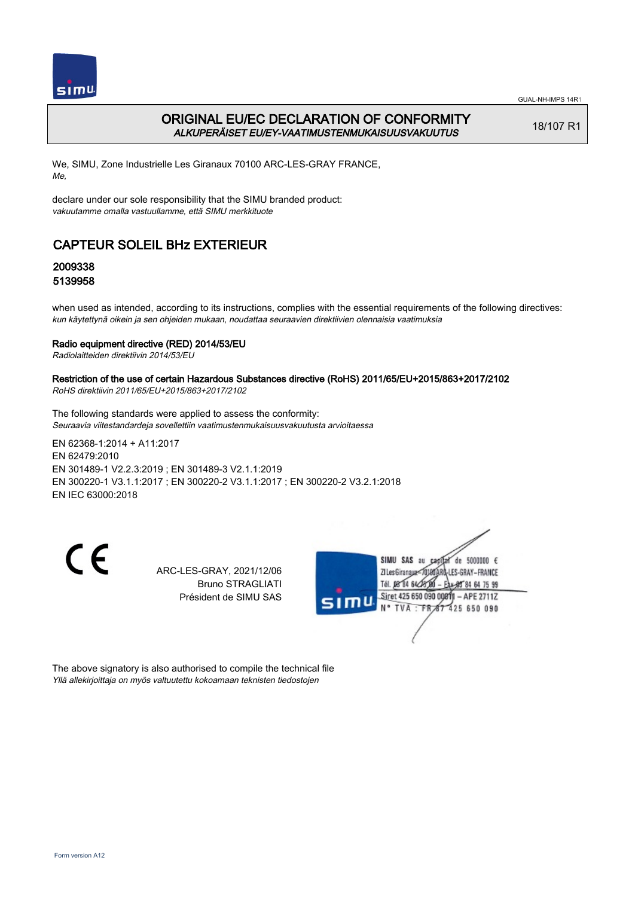

## ORIGINAL EU/EC DECLARATION OF CONFORMITY ALKUPERÄISET EU/EY-VAATIMUSTENMUKAISUUSVAKUUTUS

18/107 R1

We, SIMU, Zone Industrielle Les Giranaux 70100 ARC-LES-GRAY FRANCE, Me,

declare under our sole responsibility that the SIMU branded product: vakuutamme omalla vastuullamme, että SIMU merkkituote

# CAPTEUR SOLEIL BHz EXTERIEUR

## 2009338 5139958

when used as intended, according to its instructions, complies with the essential requirements of the following directives: kun käytettynä oikein ja sen ohjeiden mukaan, noudattaa seuraavien direktiivien olennaisia vaatimuksia

### Radio equipment directive (RED) 2014/53/EU

Radiolaitteiden direktiivin 2014/53/EU

### Restriction of the use of certain Hazardous Substances directive (RoHS) 2011/65/EU+2015/863+2017/2102

RoHS direktiivin 2011/65/EU+2015/863+2017/2102

The following standards were applied to assess the conformity: Seuraavia viitestandardeja sovellettiin vaatimustenmukaisuusvakuutusta arvioitaessa

EN 62368‑1:2014 + A11:2017 EN 62479:2010 EN 301489‑1 V2.2.3:2019 ; EN 301489‑3 V2.1.1:2019 EN 300220‑1 V3.1.1:2017 ; EN 300220‑2 V3.1.1:2017 ; EN 300220‑2 V3.2.1:2018 EN IEC 63000:2018

CE

ARC-LES-GRAY, 2021/12/06 Bruno STRAGLIATI Président de SIMU SAS



The above signatory is also authorised to compile the technical file Yllä allekirjoittaja on myös valtuutettu kokoamaan teknisten tiedostojen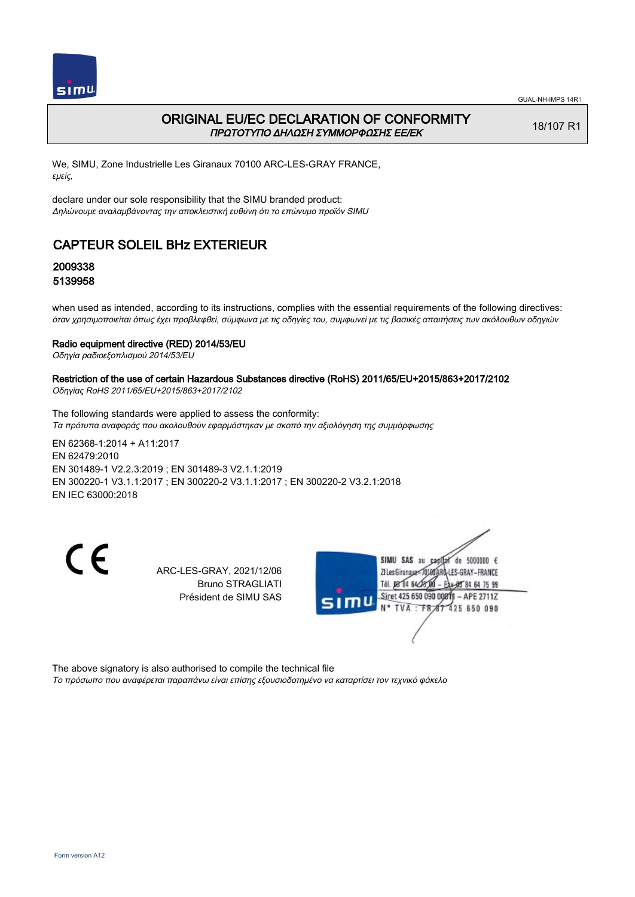

## ORIGINAL EU/EC DECLARATION OF CONFORMITY ΠΡΩΤΟΤΥΠΟ ΔΗΛΩΣΗ ΣΥΜΜΟΡΦΩΣΗΣ ΕΕ/EK

18/107 R1

We, SIMU, Zone Industrielle Les Giranaux 70100 ARC-LES-GRAY FRANCE, εμείς,

declare under our sole responsibility that the SIMU branded product: Δηλώνουμε αναλαμβάνοντας την αποκλειστική ευθύνη ότι το επώνυμο προϊόν SIMU

# CAPTEUR SOLEIL BHz EXTERIEUR

## 2009338 5139958

when used as intended, according to its instructions, complies with the essential requirements of the following directives: όταν χρησιμοποιείται όπως έχει προβλεφθεί, σύμφωνα με τις οδηγίες του, συμφωνεί με τις βασικές απαιτήσεις των ακόλουθων οδηγιών

### Radio equipment directive (RED) 2014/53/EU

Οδηγία ραδιοεξοπλισμού 2014/53/EU

# Restriction of the use of certain Hazardous Substances directive (RoHS) 2011/65/EU+2015/863+2017/2102

Οδηγίας RoHS 2011/65/EU+2015/863+2017/2102

The following standards were applied to assess the conformity: Τα πρότυπα αναφοράς που ακολουθούν εφαρμόστηκαν με σκοπό την αξιολόγηση της συμμόρφωσης

EN 62368‑1:2014 + A11:2017 EN 62479:2010 EN 301489‑1 V2.2.3:2019 ; EN 301489‑3 V2.1.1:2019 EN 300220‑1 V3.1.1:2017 ; EN 300220‑2 V3.1.1:2017 ; EN 300220‑2 V3.2.1:2018 EN IEC 63000:2018

CE

ARC-LES-GRAY, 2021/12/06 Bruno STRAGLIATI Président de SIMU SAS



The above signatory is also authorised to compile the technical file Το πρόσωπο που αναφέρεται παραπάνω είναι επίσης εξουσιοδοτημένο να καταρτίσει τον τεχνικό φάκελο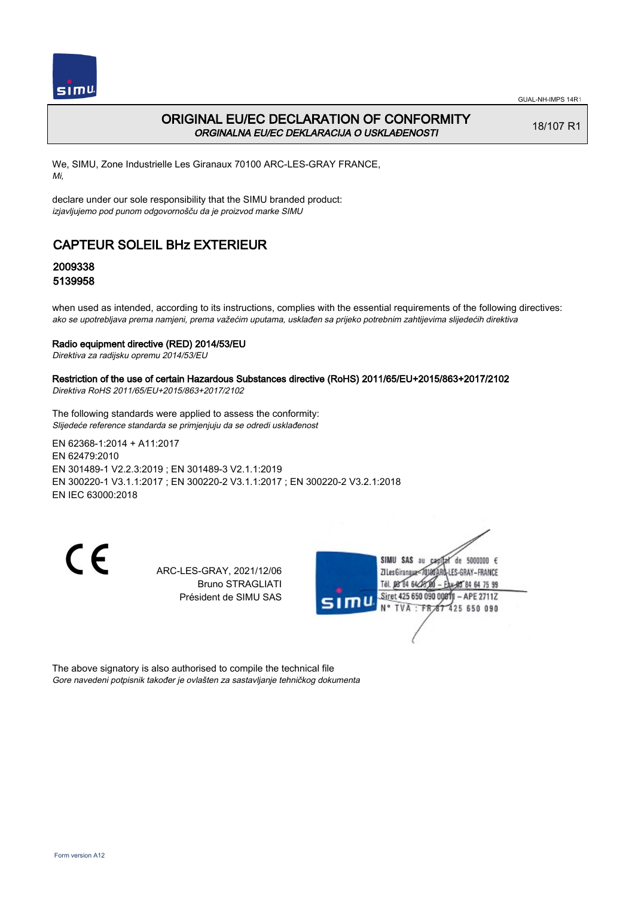

## ORIGINAL EU/EC DECLARATION OF CONFORMITY ORGINALNA EU/EC DEKLARACIJA O USKLAĐENOSTI

18/107 R1

We, SIMU, Zone Industrielle Les Giranaux 70100 ARC-LES-GRAY FRANCE, Mi,

declare under our sole responsibility that the SIMU branded product: izjavljujemo pod punom odgovornošču da je proizvod marke SIMU

# CAPTEUR SOLEIL BHz EXTERIEUR

## 2009338 5139958

when used as intended, according to its instructions, complies with the essential requirements of the following directives: ako se upotrebljava prema namjeni, prema važećim uputama, usklađen sa prijeko potrebnim zahtijevima slijedećih direktiva

### Radio equipment directive (RED) 2014/53/EU

Direktiva za radijsku opremu 2014/53/EU

### Restriction of the use of certain Hazardous Substances directive (RoHS) 2011/65/EU+2015/863+2017/2102

Direktiva RoHS 2011/65/EU+2015/863+2017/2102

The following standards were applied to assess the conformity: Slijedeće reference standarda se primjenjuju da se odredi usklađenost

EN 62368‑1:2014 + A11:2017 EN 62479:2010 EN 301489‑1 V2.2.3:2019 ; EN 301489‑3 V2.1.1:2019 EN 300220‑1 V3.1.1:2017 ; EN 300220‑2 V3.1.1:2017 ; EN 300220‑2 V3.2.1:2018 EN IEC 63000:2018

CE

ARC-LES-GRAY, 2021/12/06 Bruno STRAGLIATI Président de SIMU SAS



The above signatory is also authorised to compile the technical file Gore navedeni potpisnik također je ovlašten za sastavljanje tehničkog dokumenta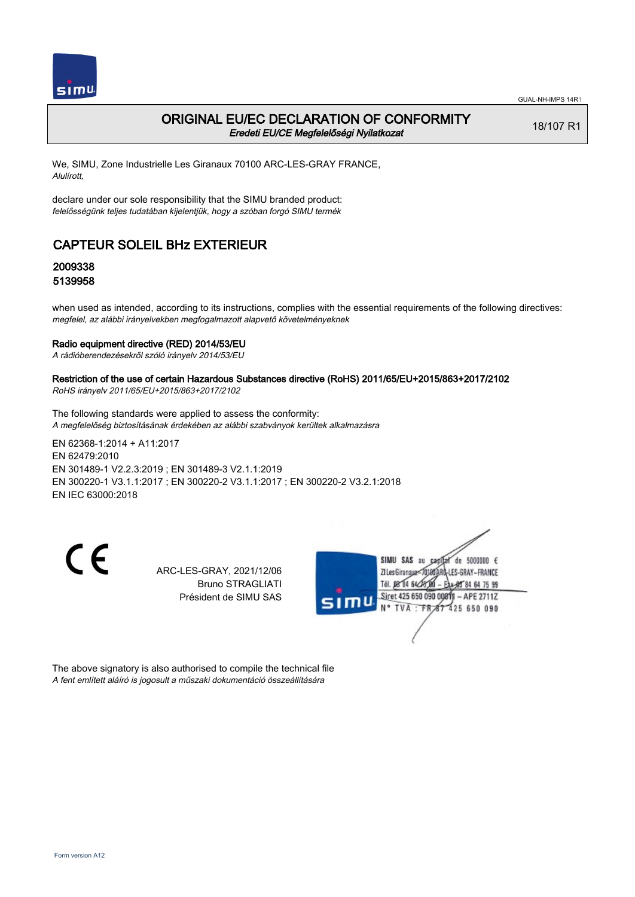

### ORIGINAL EU/EC DECLARATION OF CONFORMITY Eredeti EU/CE Megfelelőségi Nyilatkozat

18/107 R1

We, SIMU, Zone Industrielle Les Giranaux 70100 ARC-LES-GRAY FRANCE, Alulírott,

declare under our sole responsibility that the SIMU branded product: felelősségünk teljes tudatában kijelentjük, hogy a szóban forgó SIMU termék

# CAPTEUR SOLEIL BHz EXTERIEUR

## 2009338 5139958

when used as intended, according to its instructions, complies with the essential requirements of the following directives: megfelel, az alábbi irányelvekben megfogalmazott alapvető követelményeknek

#### Radio equipment directive (RED) 2014/53/EU

A rádióberendezésekről szóló irányelv 2014/53/EU

### Restriction of the use of certain Hazardous Substances directive (RoHS) 2011/65/EU+2015/863+2017/2102

RoHS irányelv 2011/65/EU+2015/863+2017/2102

The following standards were applied to assess the conformity: A megfelelőség biztosításának érdekében az alábbi szabványok kerültek alkalmazásra

EN 62368‑1:2014 + A11:2017 EN 62479:2010 EN 301489‑1 V2.2.3:2019 ; EN 301489‑3 V2.1.1:2019 EN 300220‑1 V3.1.1:2017 ; EN 300220‑2 V3.1.1:2017 ; EN 300220‑2 V3.2.1:2018 EN IEC 63000:2018

CE

ARC-LES-GRAY, 2021/12/06 Bruno STRAGLIATI Président de SIMU SAS



The above signatory is also authorised to compile the technical file A fent említett aláíró is jogosult a műszaki dokumentáció összeállítására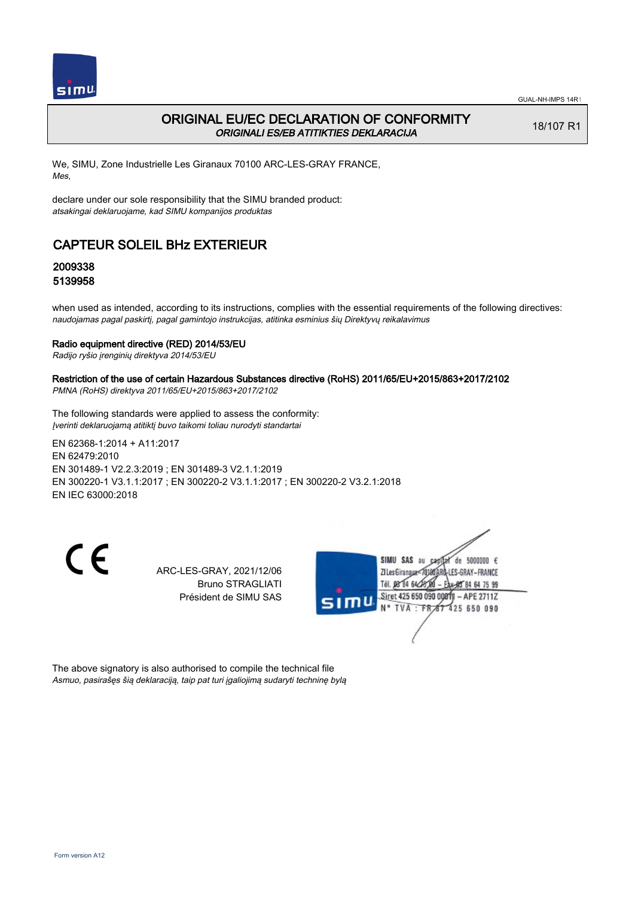

## ORIGINAL EU/EC DECLARATION OF CONFORMITY ORIGINALI ES/EB ATITIKTIES DEKLARACIJA

18/107 R1

We, SIMU, Zone Industrielle Les Giranaux 70100 ARC-LES-GRAY FRANCE, Mes,

declare under our sole responsibility that the SIMU branded product: atsakingai deklaruojame, kad SIMU kompanijos produktas

# CAPTEUR SOLEIL BHz EXTERIEUR

## 2009338 5139958

when used as intended, according to its instructions, complies with the essential requirements of the following directives: naudojamas pagal paskirtį, pagal gamintojo instrukcijas, atitinka esminius šių Direktyvų reikalavimus

#### Radio equipment directive (RED) 2014/53/EU

Radijo ryšio įrenginių direktyva 2014/53/EU

### Restriction of the use of certain Hazardous Substances directive (RoHS) 2011/65/EU+2015/863+2017/2102

PMNA (RoHS) direktyva 2011/65/EU+2015/863+2017/2102

The following standards were applied to assess the conformity: Įverinti deklaruojamą atitiktį buvo taikomi toliau nurodyti standartai

EN 62368‑1:2014 + A11:2017 EN 62479:2010 EN 301489‑1 V2.2.3:2019 ; EN 301489‑3 V2.1.1:2019 EN 300220‑1 V3.1.1:2017 ; EN 300220‑2 V3.1.1:2017 ; EN 300220‑2 V3.2.1:2018 EN IEC 63000:2018

CE

ARC-LES-GRAY, 2021/12/06 Bruno STRAGLIATI Président de SIMU SAS



The above signatory is also authorised to compile the technical file Asmuo, pasirašęs šią deklaraciją, taip pat turi įgaliojimą sudaryti techninę bylą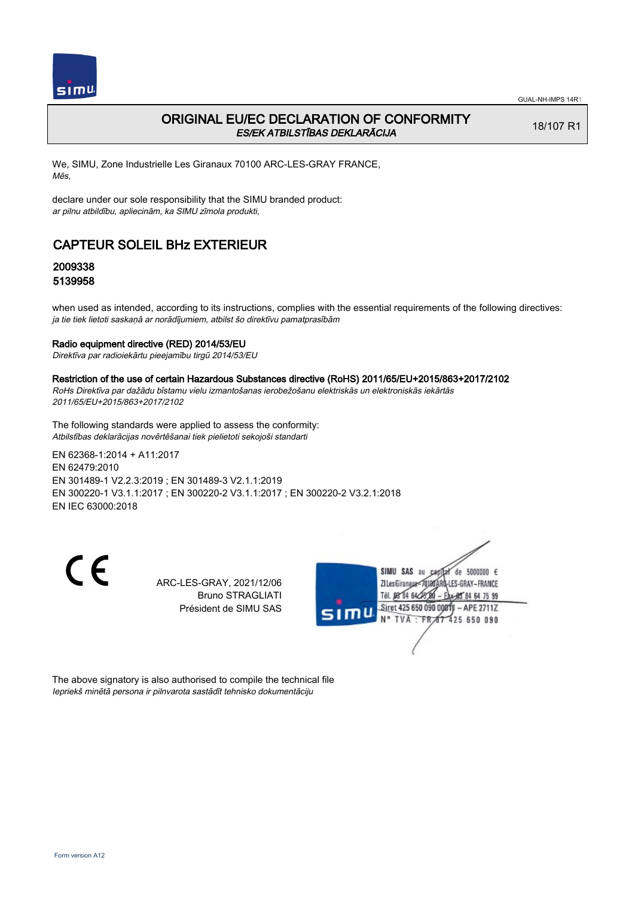

## ORIGINAL EU/EC DECLARATION OF CONFORMITY ES/EK ATBILSTĪBAS DEKLARĀCIJA

18/107 R1

We, SIMU, Zone Industrielle Les Giranaux 70100 ARC-LES-GRAY FRANCE, Mēs,

declare under our sole responsibility that the SIMU branded product: ar pilnu atbildību, apliecinām, ka SIMU zīmola produkti,

# CAPTEUR SOLEIL BHz EXTERIEUR

## 2009338 5139958

when used as intended, according to its instructions, complies with the essential requirements of the following directives: ja tie tiek lietoti saskaņā ar norādījumiem, atbilst šo direktīvu pamatprasībām

#### Radio equipment directive (RED) 2014/53/EU

Direktīva par radioiekārtu pieejamību tirgū 2014/53/EU

#### Restriction of the use of certain Hazardous Substances directive (RoHS) 2011/65/EU+2015/863+2017/2102

RoHs Direktīva par dažādu bīstamu vielu izmantošanas ierobežošanu elektriskās un elektroniskās iekārtās 2011/65/EU+2015/863+2017/2102

The following standards were applied to assess the conformity: Atbilstības deklarācijas novērtēšanai tiek pielietoti sekojoši standarti

EN 62368‑1:2014 + A11:2017 EN 62479:2010 EN 301489‑1 V2.2.3:2019 ; EN 301489‑3 V2.1.1:2019 EN 300220‑1 V3.1.1:2017 ; EN 300220‑2 V3.1.1:2017 ; EN 300220‑2 V3.2.1:2018 EN IEC 63000:2018

 $\epsilon$ 

ARC-LES-GRAY, 2021/12/06 Bruno STRAGLIATI Président de SIMU SAS



The above signatory is also authorised to compile the technical file Iepriekš minētā persona ir pilnvarota sastādīt tehnisko dokumentāciju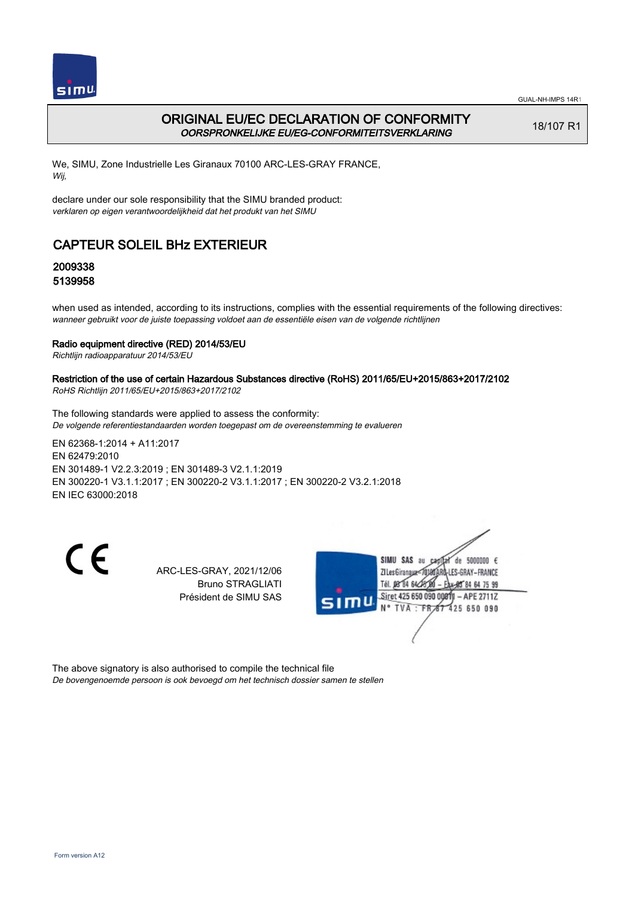

## ORIGINAL EU/EC DECLARATION OF CONFORMITY OORSPRONKELIJKE EU/EG-CONFORMITEITSVERKLARING

18/107 R1

We, SIMU, Zone Industrielle Les Giranaux 70100 ARC-LES-GRAY FRANCE, Wij,

declare under our sole responsibility that the SIMU branded product: verklaren op eigen verantwoordelijkheid dat het produkt van het SIMU

# CAPTEUR SOLEIL BHz EXTERIEUR

## 2009338 5139958

when used as intended, according to its instructions, complies with the essential requirements of the following directives: wanneer gebruikt voor de juiste toepassing voldoet aan de essentiële eisen van de volgende richtlijnen

### Radio equipment directive (RED) 2014/53/EU

Richtlijn radioapparatuur 2014/53/EU

## Restriction of the use of certain Hazardous Substances directive (RoHS) 2011/65/EU+2015/863+2017/2102

RoHS Richtlijn 2011/65/EU+2015/863+2017/2102

The following standards were applied to assess the conformity: De volgende referentiestandaarden worden toegepast om de overeenstemming te evalueren

EN 62368‑1:2014 + A11:2017 EN 62479:2010 EN 301489‑1 V2.2.3:2019 ; EN 301489‑3 V2.1.1:2019 EN 300220‑1 V3.1.1:2017 ; EN 300220‑2 V3.1.1:2017 ; EN 300220‑2 V3.2.1:2018 EN IEC 63000:2018

CE

ARC-LES-GRAY, 2021/12/06 Bruno STRAGLIATI Président de SIMU SAS



The above signatory is also authorised to compile the technical file De bovengenoemde persoon is ook bevoegd om het technisch dossier samen te stellen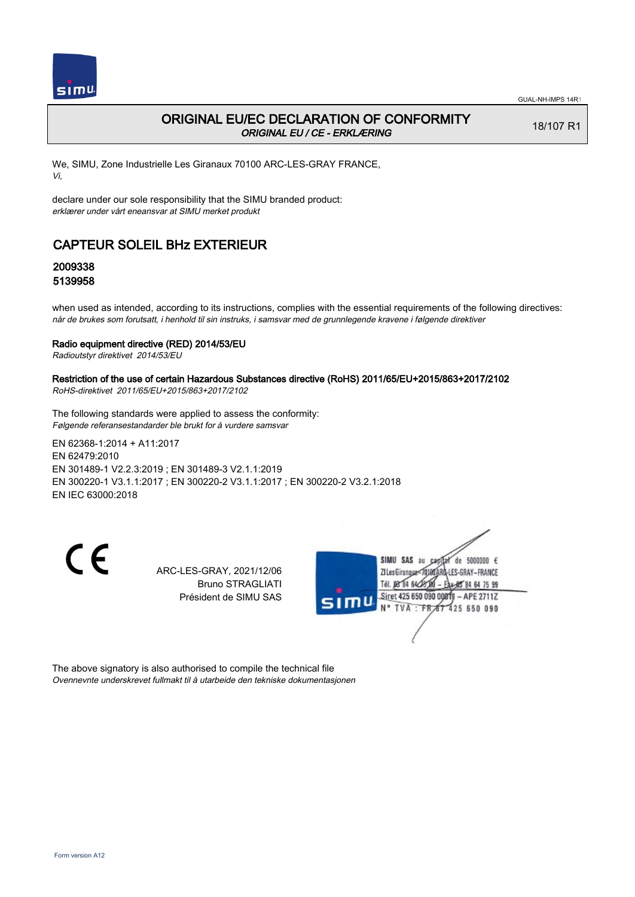

## ORIGINAL EU/EC DECLARATION OF CONFORMITY ORIGINAL EU / CE - ERKLÆRING

18/107 R1

We, SIMU, Zone Industrielle Les Giranaux 70100 ARC-LES-GRAY FRANCE, Vi,

declare under our sole responsibility that the SIMU branded product: erklærer under vårt eneansvar at SIMU merket produkt

# CAPTEUR SOLEIL BHz EXTERIEUR

## 2009338 5139958

when used as intended, according to its instructions, complies with the essential requirements of the following directives: når de brukes som forutsatt, i henhold til sin instruks, i samsvar med de grunnlegende kravene i følgende direktiver

#### Radio equipment directive (RED) 2014/53/EU

Radioutstyr direktivet 2014/53/EU

### Restriction of the use of certain Hazardous Substances directive (RoHS) 2011/65/EU+2015/863+2017/2102

RoHS-direktivet 2011/65/EU+2015/863+2017/2102

The following standards were applied to assess the conformity: Følgende referansestandarder ble brukt for å vurdere samsvar

EN 62368‑1:2014 + A11:2017 EN 62479:2010 EN 301489‑1 V2.2.3:2019 ; EN 301489‑3 V2.1.1:2019 EN 300220‑1 V3.1.1:2017 ; EN 300220‑2 V3.1.1:2017 ; EN 300220‑2 V3.2.1:2018 EN IEC 63000:2018

CE

ARC-LES-GRAY, 2021/12/06 Bruno STRAGLIATI Président de SIMU SAS



The above signatory is also authorised to compile the technical file Ovennevnte underskrevet fullmakt til å utarbeide den tekniske dokumentasjonen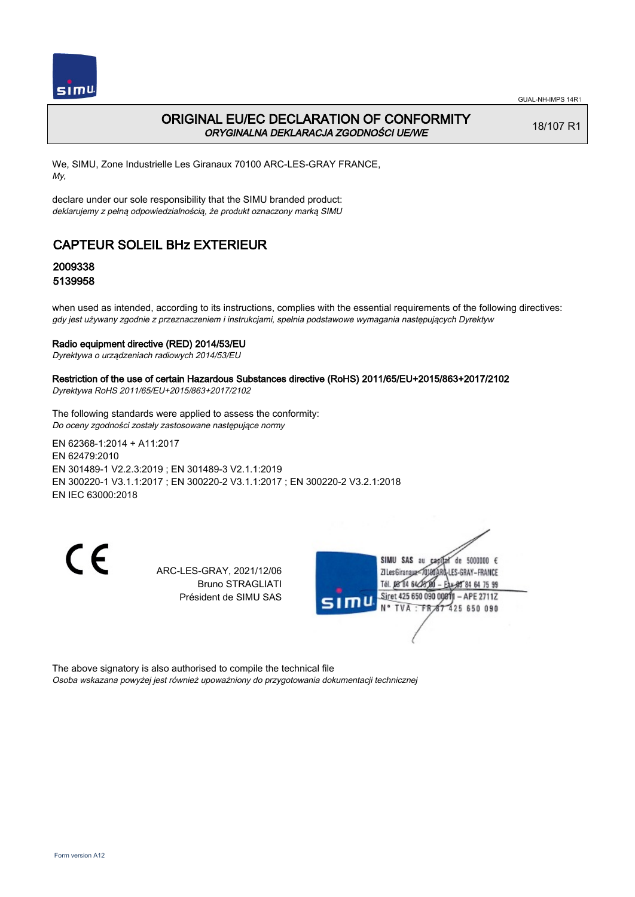

## ORIGINAL EU/EC DECLARATION OF CONFORMITY ORYGINALNA DEKLARACJA ZGODNOŚCI UE/WE

18/107 R1

We, SIMU, Zone Industrielle Les Giranaux 70100 ARC-LES-GRAY FRANCE, My,

declare under our sole responsibility that the SIMU branded product: deklarujemy z pełną odpowiedzialnością, że produkt oznaczony marką SIMU

# CAPTEUR SOLEIL BHz EXTERIEUR

## 2009338 5139958

when used as intended, according to its instructions, complies with the essential requirements of the following directives: gdy jest używany zgodnie z przeznaczeniem i instrukcjami, spełnia podstawowe wymagania następujących Dyrektyw

#### Radio equipment directive (RED) 2014/53/EU

Dyrektywa o urządzeniach radiowych 2014/53/EU

### Restriction of the use of certain Hazardous Substances directive (RoHS) 2011/65/EU+2015/863+2017/2102

Dyrektywa RoHS 2011/65/EU+2015/863+2017/2102

The following standards were applied to assess the conformity: Do oceny zgodności zostały zastosowane następujące normy

EN 62368‑1:2014 + A11:2017 EN 62479:2010 EN 301489‑1 V2.2.3:2019 ; EN 301489‑3 V2.1.1:2019 EN 300220‑1 V3.1.1:2017 ; EN 300220‑2 V3.1.1:2017 ; EN 300220‑2 V3.2.1:2018 EN IEC 63000:2018

CE

ARC-LES-GRAY, 2021/12/06 Bruno STRAGLIATI Président de SIMU SAS



The above signatory is also authorised to compile the technical file Osoba wskazana powyżej jest również upoważniony do przygotowania dokumentacji technicznej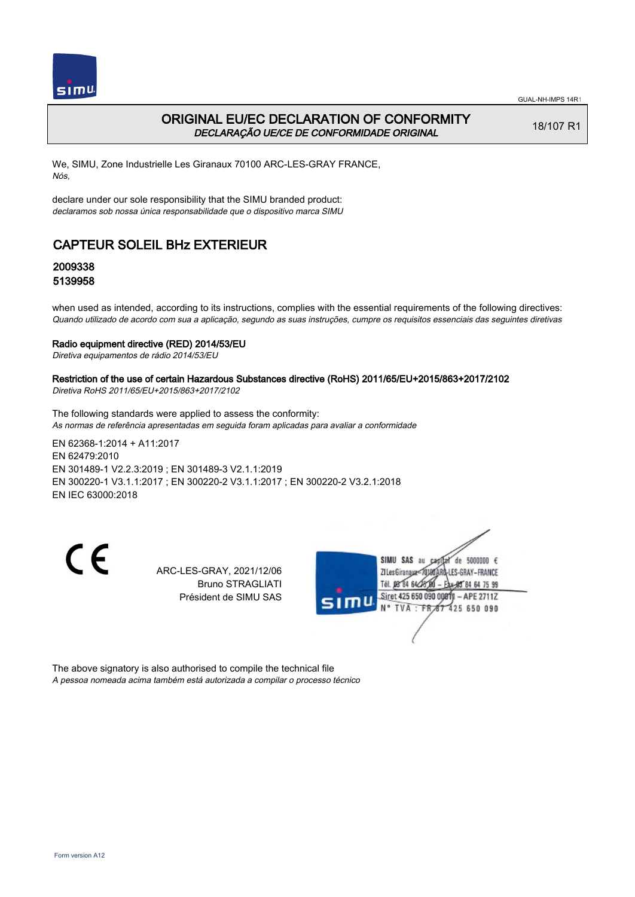

## ORIGINAL EU/EC DECLARATION OF CONFORMITY DECLARAÇÃO UE/CE DE CONFORMIDADE ORIGINAL

18/107 R1

We, SIMU, Zone Industrielle Les Giranaux 70100 ARC-LES-GRAY FRANCE, Nós,

declare under our sole responsibility that the SIMU branded product: declaramos sob nossa única responsabilidade que o dispositivo marca SIMU

# CAPTEUR SOLEIL BHz EXTERIEUR

## 2009338 5139958

when used as intended, according to its instructions, complies with the essential requirements of the following directives: Quando utilizado de acordo com sua a aplicação, segundo as suas instruções, cumpre os requisitos essenciais das seguintes diretivas

#### Radio equipment directive (RED) 2014/53/EU

Diretiva equipamentos de rádio 2014/53/EU

## Restriction of the use of certain Hazardous Substances directive (RoHS) 2011/65/EU+2015/863+2017/2102

Diretiva RoHS 2011/65/EU+2015/863+2017/2102

The following standards were applied to assess the conformity: As normas de referência apresentadas em seguida foram aplicadas para avaliar a conformidade

EN 62368‑1:2014 + A11:2017 EN 62479:2010 EN 301489‑1 V2.2.3:2019 ; EN 301489‑3 V2.1.1:2019 EN 300220‑1 V3.1.1:2017 ; EN 300220‑2 V3.1.1:2017 ; EN 300220‑2 V3.2.1:2018 EN IEC 63000:2018

CE

ARC-LES-GRAY, 2021/12/06 Bruno STRAGLIATI Président de SIMU SAS



The above signatory is also authorised to compile the technical file A pessoa nomeada acima também está autorizada a compilar o processo técnico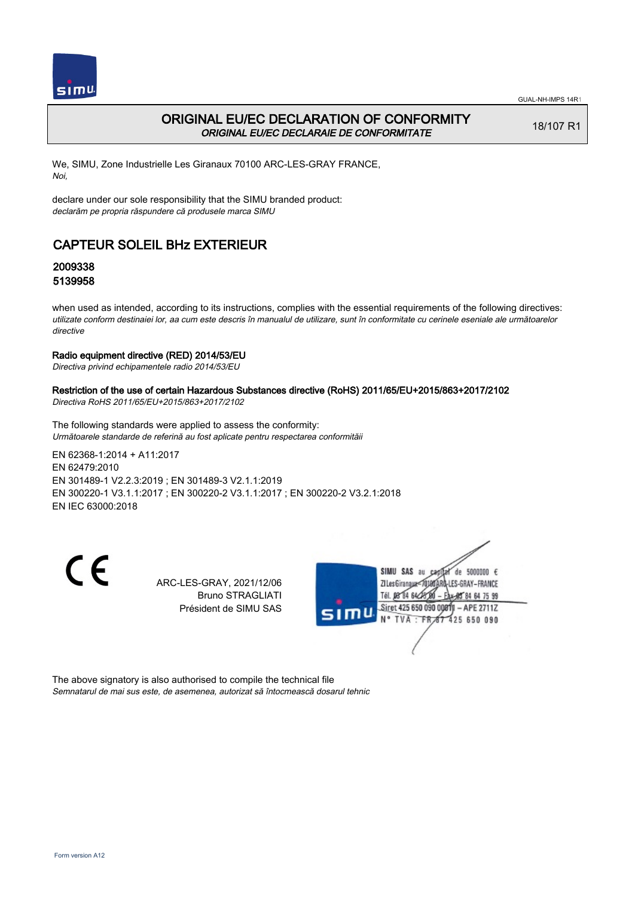

## ORIGINAL EU/EC DECLARATION OF CONFORMITY ORIGINAL EU/EC DECLARAIE DE CONFORMITATE

18/107 R1

We, SIMU, Zone Industrielle Les Giranaux 70100 ARC-LES-GRAY FRANCE, Noi,

declare under our sole responsibility that the SIMU branded product: declarăm pe propria răspundere că produsele marca SIMU

# CAPTEUR SOLEIL BHz EXTERIEUR

## 2009338 5139958

when used as intended, according to its instructions, complies with the essential requirements of the following directives: utilizate conform destinaiei lor, aa cum este descris în manualul de utilizare, sunt în conformitate cu cerinele eseniale ale următoarelor directive

### Radio equipment directive (RED) 2014/53/EU

Directiva privind echipamentele radio 2014/53/EU

### Restriction of the use of certain Hazardous Substances directive (RoHS) 2011/65/EU+2015/863+2017/2102

Directiva RoHS 2011/65/EU+2015/863+2017/2102

The following standards were applied to assess the conformity: Următoarele standarde de referină au fost aplicate pentru respectarea conformităii

EN 62368‑1:2014 + A11:2017 EN 62479:2010 EN 301489‑1 V2.2.3:2019 ; EN 301489‑3 V2.1.1:2019 EN 300220‑1 V3.1.1:2017 ; EN 300220‑2 V3.1.1:2017 ; EN 300220‑2 V3.2.1:2018 EN IEC 63000:2018

 $\epsilon$ 

ARC-LES-GRAY, 2021/12/06 Bruno STRAGLIATI Président de SIMU SAS



The above signatory is also authorised to compile the technical file Semnatarul de mai sus este, de asemenea, autorizat să întocmească dosarul tehnic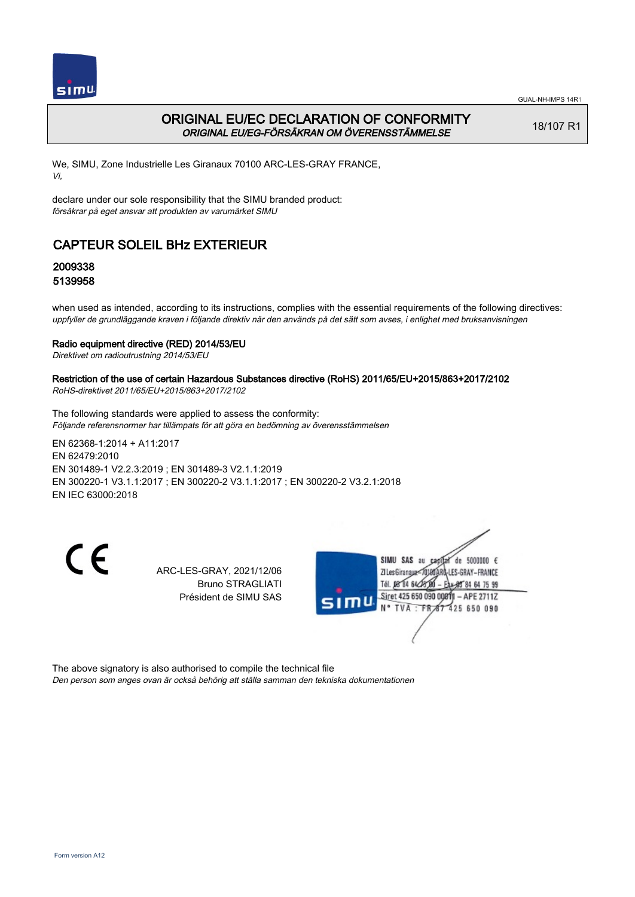

## ORIGINAL EU/EC DECLARATION OF CONFORMITY ORIGINAL EU/EG-FÖRSÄKRAN OM ÖVERENSSTÄMMELSE

18/107 R1

We, SIMU, Zone Industrielle Les Giranaux 70100 ARC-LES-GRAY FRANCE, Vi,

declare under our sole responsibility that the SIMU branded product: försäkrar på eget ansvar att produkten av varumärket SIMU

# CAPTEUR SOLEIL BHz EXTERIEUR

## 2009338 5139958

when used as intended, according to its instructions, complies with the essential requirements of the following directives: uppfyller de grundläggande kraven i följande direktiv när den används på det sätt som avses, i enlighet med bruksanvisningen

### Radio equipment directive (RED) 2014/53/EU

Direktivet om radioutrustning 2014/53/EU

## Restriction of the use of certain Hazardous Substances directive (RoHS) 2011/65/EU+2015/863+2017/2102

RoHS-direktivet 2011/65/EU+2015/863+2017/2102

The following standards were applied to assess the conformity: Följande referensnormer har tillämpats för att göra en bedömning av överensstämmelsen

EN 62368‑1:2014 + A11:2017 EN 62479:2010 EN 301489‑1 V2.2.3:2019 ; EN 301489‑3 V2.1.1:2019 EN 300220‑1 V3.1.1:2017 ; EN 300220‑2 V3.1.1:2017 ; EN 300220‑2 V3.2.1:2018 EN IEC 63000:2018

CE

ARC-LES-GRAY, 2021/12/06 Bruno STRAGLIATI Président de SIMU SAS



The above signatory is also authorised to compile the technical file Den person som anges ovan är också behörig att ställa samman den tekniska dokumentationen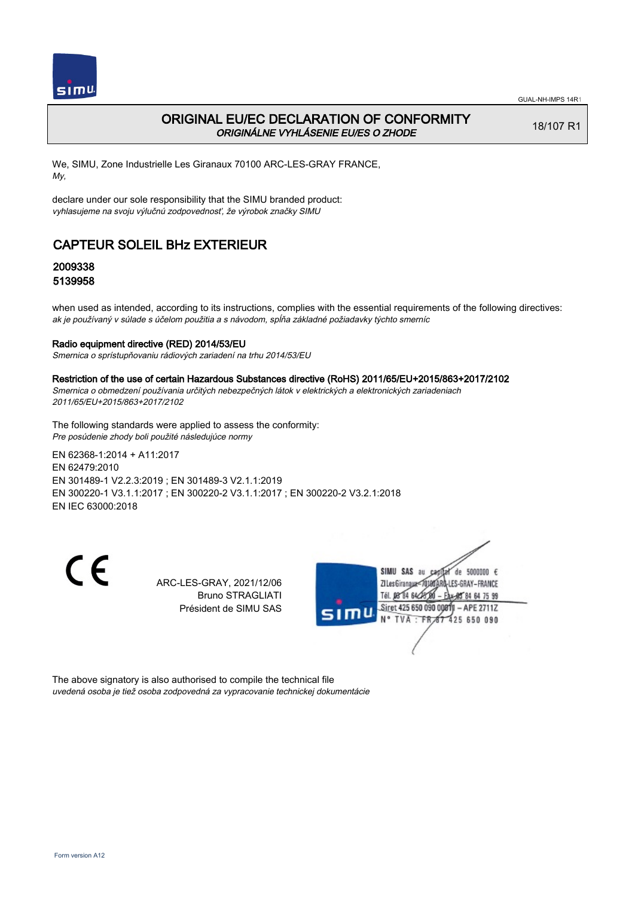

## ORIGINAL EU/EC DECLARATION OF CONFORMITY ORIGINÁLNE VYHLÁSENIE EU/ES O ZHODE

18/107 R1

We, SIMU, Zone Industrielle Les Giranaux 70100 ARC-LES-GRAY FRANCE, My,

declare under our sole responsibility that the SIMU branded product: vyhlasujeme na svoju výlučnú zodpovednosť, že výrobok značky SIMU

# CAPTEUR SOLEIL BHz EXTERIEUR

## 2009338 5139958

when used as intended, according to its instructions, complies with the essential requirements of the following directives: ak je používaný v súlade s účelom použitia a s návodom, spĺňa základné požiadavky týchto smerníc

#### Radio equipment directive (RED) 2014/53/EU

Smernica o sprístupňovaniu rádiových zariadení na trhu 2014/53/EU

#### Restriction of the use of certain Hazardous Substances directive (RoHS) 2011/65/EU+2015/863+2017/2102

Smernica o obmedzení používania určitých nebezpečných látok v elektrických a elektronických zariadeniach 2011/65/EU+2015/863+2017/2102

The following standards were applied to assess the conformity: Pre posúdenie zhody boli použité následujúce normy

EN 62368‑1:2014 + A11:2017 EN 62479:2010 EN 301489‑1 V2.2.3:2019 ; EN 301489‑3 V2.1.1:2019 EN 300220‑1 V3.1.1:2017 ; EN 300220‑2 V3.1.1:2017 ; EN 300220‑2 V3.2.1:2018 EN IEC 63000:2018

C E

ARC-LES-GRAY, 2021/12/06 Bruno STRAGLIATI Président de SIMU SAS



The above signatory is also authorised to compile the technical file uvedená osoba je tiež osoba zodpovedná za vypracovanie technickej dokumentácie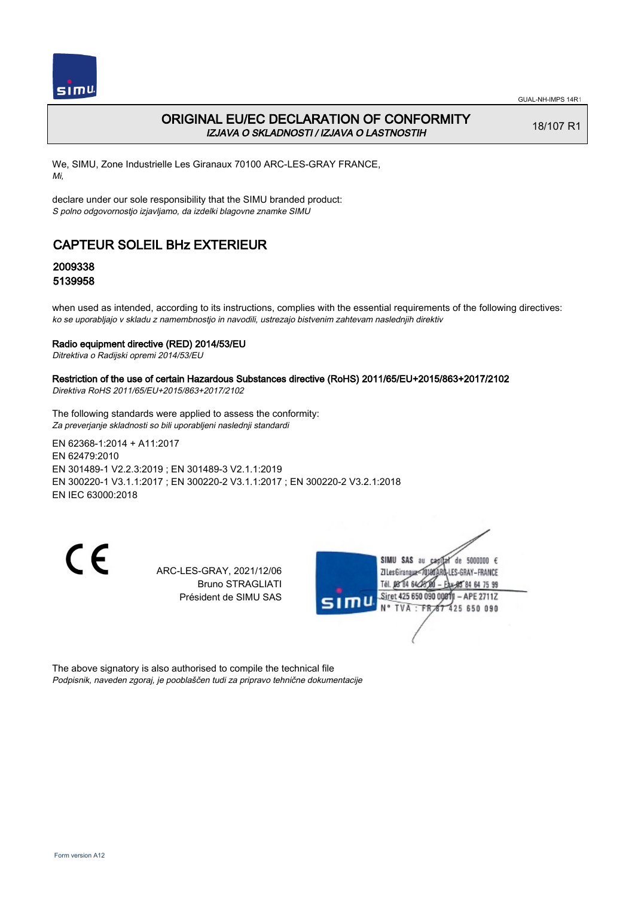

## ORIGINAL EU/EC DECLARATION OF CONFORMITY IZJAVA O SKLADNOSTI / IZJAVA O LASTNOSTIH

18/107 R1

We, SIMU, Zone Industrielle Les Giranaux 70100 ARC-LES-GRAY FRANCE, Mi,

declare under our sole responsibility that the SIMU branded product: S polno odgovornostjo izjavljamo, da izdelki blagovne znamke SIMU

# CAPTEUR SOLEIL BHz EXTERIEUR

## 2009338 5139958

when used as intended, according to its instructions, complies with the essential requirements of the following directives: ko se uporabljajo v skladu z namembnostjo in navodili, ustrezajo bistvenim zahtevam naslednjih direktiv

#### Radio equipment directive (RED) 2014/53/EU

Ditrektiva o Radijski opremi 2014/53/EU

### Restriction of the use of certain Hazardous Substances directive (RoHS) 2011/65/EU+2015/863+2017/2102

Direktiva RoHS 2011/65/EU+2015/863+2017/2102

The following standards were applied to assess the conformity: Za preverjanje skladnosti so bili uporabljeni naslednji standardi

EN 62368‑1:2014 + A11:2017 EN 62479:2010 EN 301489‑1 V2.2.3:2019 ; EN 301489‑3 V2.1.1:2019 EN 300220‑1 V3.1.1:2017 ; EN 300220‑2 V3.1.1:2017 ; EN 300220‑2 V3.2.1:2018 EN IEC 63000:2018

CE

ARC-LES-GRAY, 2021/12/06 Bruno STRAGLIATI Président de SIMU SAS



The above signatory is also authorised to compile the technical file Podpisnik, naveden zgoraj, je pooblaščen tudi za pripravo tehnične dokumentacije